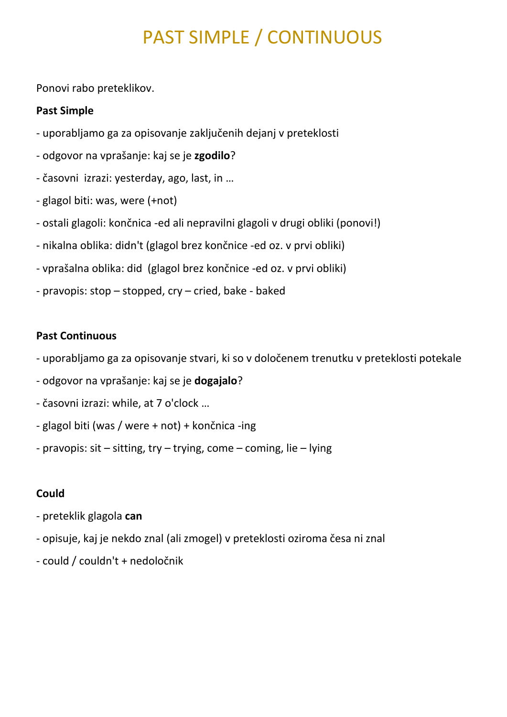# PAST SIMPLE / CONTINUOUS

Ponovi rabo preteklikov.

#### **Past Simple**

- uporabljamo ga za opisovanje zaključenih dejanj v preteklosti
- odgovor na vprašanje: kaj se je **zgodilo**?
- časovni izrazi: yesterday, ago, last, in …
- glagol biti: was, were (+not)
- ostali glagoli: končnica -ed ali nepravilni glagoli v drugi obliki (ponovi!)
- nikalna oblika: didn't (glagol brez končnice -ed oz. v prvi obliki)
- vprašalna oblika: did (glagol brez končnice -ed oz. v prvi obliki)
- pravopis: stop stopped, cry cried, bake baked

#### **Past Continuous**

- uporabljamo ga za opisovanje stvari, ki so v določenem trenutku v preteklosti potekale
- odgovor na vprašanje: kaj se je **dogajalo**?
- časovni izrazi: while, at 7 o'clock …
- glagol biti (was / were + not) + končnica -ing
- pravopis: sit sitting, try trying, come coming, lie lying

#### **Could**

- preteklik glagola **can**
- opisuje, kaj je nekdo znal (ali zmogel) v preteklosti oziroma česa ni znal
- could / couldn't + nedoločnik